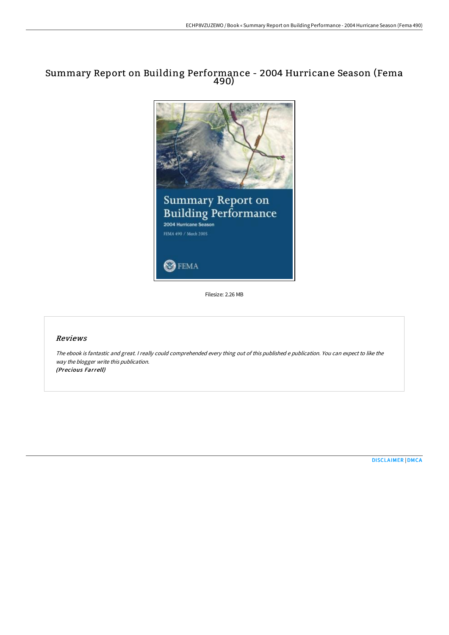# Summary Report on Building Performance - 2004 Hurricane Season (Fema 490)



Filesize: 2.26 MB

## Reviews

The ebook is fantastic and great. <sup>I</sup> really could comprehended every thing out of this published <sup>e</sup> publication. You can expect to like the way the blogger write this publication. (Precious Farrell)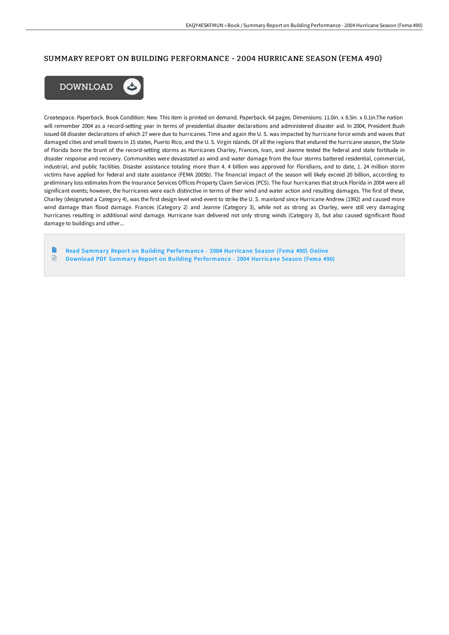#### SUMMARY REPORT ON BUILDING PERFORMANCE - 2004 HURRICANE SEASON (FEMA 490)



Createspace. Paperback. Book Condition: New. This item is printed on demand. Paperback. 64 pages. Dimensions: 11.0in. x 8.5in. x 0.1in.The nation will remember 2004 as a record-setting year in terms of presidential disaster declarations and administered disaster aid. In 2004, President Bush issued 68 disaster declarations of which 27 were due to hurricanes. Time and again the U. S. was impacted by hurricane force winds and waves that damaged cities and small towns in 15 states, Puerto Rico, and the U. S. Virgin Islands. Of all the regions that endured the hurricane season, the State of Florida bore the brunt of the record-setting storms as Hurricanes Charley, Frances, Ivan, and Jeanne tested the federal and state fortitude in disaster response and recovery. Communities were devastated as wind and water damage from the four storms battered residential, commercial, industrial, and public facilities. Disaster assistance totaling more than 4. 4 billion was approved for Floridians, and to date, 1. 24 million storm victims have applied for federal and state assistance (FEMA 2005b). The financial impact of the season will likely exceed 20 billion, according to preliminary loss estimates from the Insurance Services Offices Property Claim Services (PCS). The four hurricanes that struck Florida in 2004 were all significant events; however, the hurricanes were each distinctive in terms of their wind and water action and resulting damages. The first of these, Charley (designated a Category 4), was the first design level wind event to strike the U. S. mainland since Hurricane Andrew (1992) and caused more wind damage than flood damage. Frances (Category 2) and Jeanne (Category 3), while not as strong as Charley, were still very damaging hurricanes resulting in additional wind damage. Hurricane Ivan delivered not only strong winds (Category 3), but also caused significant flood damage to buildings and other...

Read Summary Report on Building [Performance](http://techno-pub.tech/summary-report-on-building-performance-2004-hurr.html) - 2004 Hurricane Season (Fema 490) Online  $\textcolor{red}{\Box}$ Download PDF Summary Report on Building [Performance](http://techno-pub.tech/summary-report-on-building-performance-2004-hurr.html) - 2004 Hurricane Season (Fema 490)